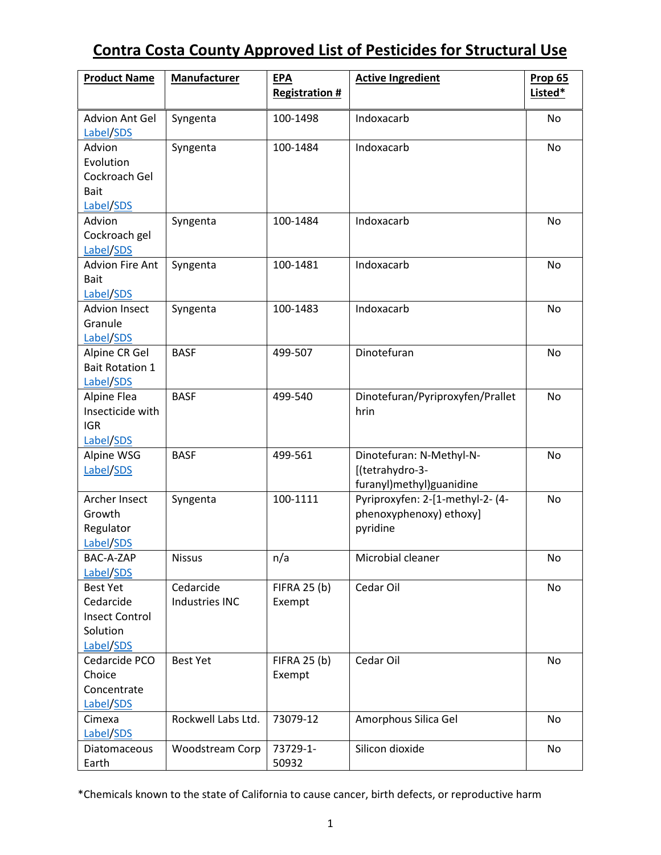| <b>Product Name</b>                                                            | <b>Manufacturer</b>         | <b>EPA</b><br><b>Registration #</b> | <b>Active Ingredient</b>                                                | <b>Prop 65</b><br>Listed* |
|--------------------------------------------------------------------------------|-----------------------------|-------------------------------------|-------------------------------------------------------------------------|---------------------------|
| Advion Ant Gel<br>Label/SDS                                                    | Syngenta                    | 100-1498                            | Indoxacarb                                                              | No                        |
| Advion<br>Evolution<br>Cockroach Gel<br><b>Bait</b><br>Label/SDS               | Syngenta                    | 100-1484                            | Indoxacarb                                                              | No                        |
| Advion<br>Cockroach gel<br>Label/SDS                                           | Syngenta                    | 100-1484                            | Indoxacarb                                                              | No                        |
| <b>Advion Fire Ant</b><br><b>Bait</b><br>Label/SDS                             | Syngenta                    | 100-1481                            | Indoxacarb                                                              | No                        |
| <b>Advion Insect</b><br>Granule<br>Label/SDS                                   | Syngenta                    | 100-1483                            | Indoxacarb                                                              | No                        |
| Alpine CR Gel<br><b>Bait Rotation 1</b><br>Label/SDS                           | <b>BASF</b>                 | 499-507                             | Dinotefuran                                                             | No                        |
| Alpine Flea<br>Insecticide with<br><b>IGR</b><br>Label/SDS                     | <b>BASF</b>                 | 499-540                             | Dinotefuran/Pyriproxyfen/Prallet<br>hrin                                | <b>No</b>                 |
| Alpine WSG<br>Label/SDS                                                        | <b>BASF</b>                 | 499-561                             | Dinotefuran: N-Methyl-N-<br>[(tetrahydro-3-<br>furanyl)methyl)guanidine | No                        |
| Archer Insect<br>Growth<br>Regulator<br>Label/SDS                              | Syngenta                    | 100-1111                            | Pyriproxyfen: 2-[1-methyl-2- (4-<br>phenoxyphenoxy) ethoxy]<br>pyridine | No                        |
| BAC-A-ZAP<br>Label/SDS                                                         | <b>Nissus</b>               | n/a                                 | Microbial cleaner                                                       | No                        |
| <b>Best Yet</b><br>Cedarcide<br><b>Insect Control</b><br>Solution<br>Label/SDS | Cedarcide<br>Industries INC | <b>FIFRA 25 (b)</b><br>Exempt       | Cedar Oil                                                               | No                        |
| Cedarcide PCO<br>Choice<br>Concentrate<br>Label/SDS                            | <b>Best Yet</b>             | <b>FIFRA 25 (b)</b><br>Exempt       | Cedar Oil                                                               | No                        |
| Cimexa<br>Label/SDS                                                            | Rockwell Labs Ltd.          | 73079-12                            | Amorphous Silica Gel                                                    | No                        |
| Diatomaceous<br>Earth                                                          | Woodstream Corp             | 73729-1-<br>50932                   | Silicon dioxide                                                         | No                        |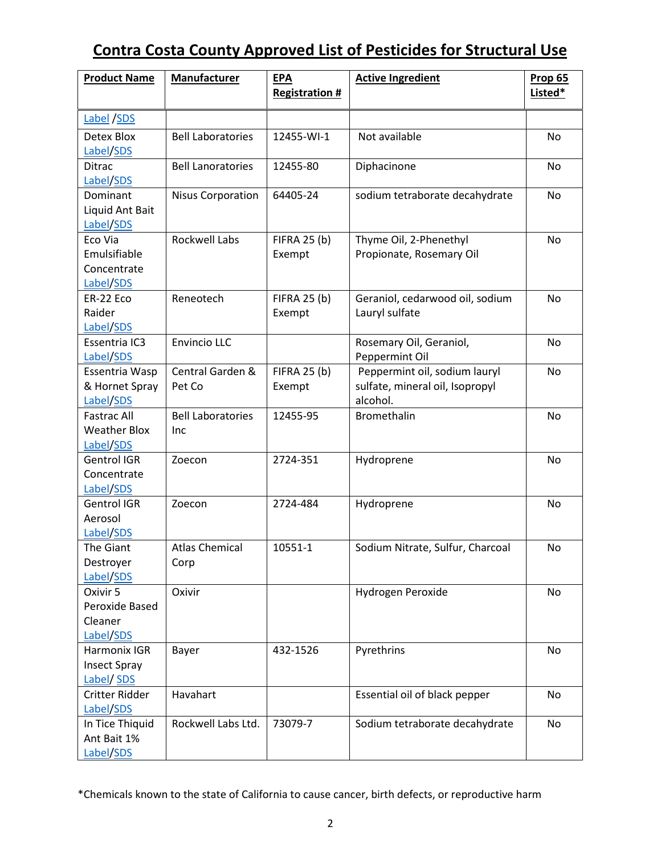| <b>Product Name</b>                                    | Manufacturer                    | <b>EPA</b><br><b>Registration #</b> | <b>Active Ingredient</b>                                                     | <b>Prop 65</b><br>Listed* |
|--------------------------------------------------------|---------------------------------|-------------------------------------|------------------------------------------------------------------------------|---------------------------|
| Label /SDS                                             |                                 |                                     |                                                                              |                           |
| Detex Blox<br>Label/SDS                                | <b>Bell Laboratories</b>        | 12455-WI-1                          | Not available                                                                | No                        |
| Ditrac<br>Label/SDS                                    | <b>Bell Lanoratories</b>        | 12455-80                            | Diphacinone                                                                  | No                        |
| Dominant<br>Liquid Ant Bait<br>Label/SDS               | <b>Nisus Corporation</b>        | 64405-24                            | sodium tetraborate decahydrate                                               | No                        |
| Eco Via<br>Emulsifiable<br>Concentrate<br>Label/SDS    | <b>Rockwell Labs</b>            | <b>FIFRA 25 (b)</b><br>Exempt       | Thyme Oil, 2-Phenethyl<br>Propionate, Rosemary Oil                           | <b>No</b>                 |
| ER-22 Eco<br>Raider<br>Label/SDS                       | Reneotech                       | <b>FIFRA 25 (b)</b><br>Exempt       | Geraniol, cedarwood oil, sodium<br>Lauryl sulfate                            | No                        |
| Essentria IC3<br>Label/SDS                             | <b>Envincio LLC</b>             |                                     | Rosemary Oil, Geraniol,<br>Peppermint Oil                                    | No                        |
| Essentria Wasp<br>& Hornet Spray<br>Label/SDS          | Central Garden &<br>Pet Co      | <b>FIFRA 25 (b)</b><br>Exempt       | Peppermint oil, sodium lauryl<br>sulfate, mineral oil, Isopropyl<br>alcohol. | No                        |
| <b>Fastrac All</b><br><b>Weather Blox</b><br>Label/SDS | <b>Bell Laboratories</b><br>Inc | 12455-95                            | Bromethalin                                                                  | No                        |
| <b>Gentrol IGR</b><br>Concentrate<br>Label/SDS         | Zoecon                          | 2724-351                            | Hydroprene                                                                   | No                        |
| <b>Gentrol IGR</b><br>Aerosol<br>Label/SDS             | Zoecon                          | 2724-484                            | Hydroprene                                                                   | No                        |
| The Giant<br>Destroyer<br>Label/SDS                    | <b>Atlas Chemical</b><br>Corp   | 10551-1                             | Sodium Nitrate, Sulfur, Charcoal                                             | No                        |
| Oxivir 5<br>Peroxide Based<br>Cleaner<br>Label/SDS     | Oxivir                          |                                     | Hydrogen Peroxide                                                            | No                        |
| Harmonix IGR<br><b>Insect Spray</b><br>Label/ SDS      | Bayer                           | 432-1526                            | Pyrethrins                                                                   | No                        |
| Critter Ridder<br>Label/SDS                            | Havahart                        |                                     | Essential oil of black pepper                                                | No                        |
| In Tice Thiquid<br>Ant Bait 1%<br>Label/SDS            | Rockwell Labs Ltd.              | 73079-7                             | Sodium tetraborate decahydrate                                               | No                        |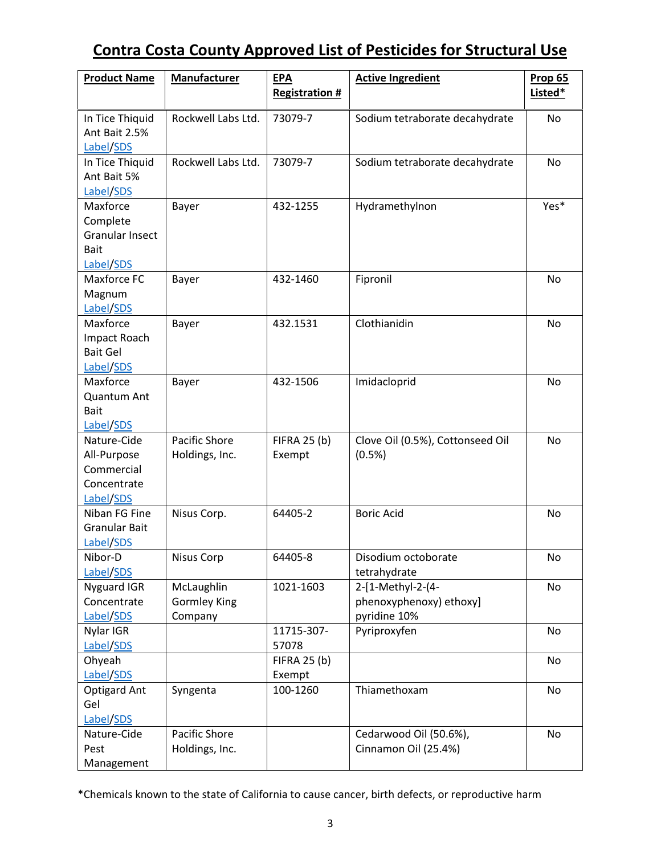| <b>Product Name</b>                                                        | Manufacturer                                 | <b>EPA</b><br><b>Registration #</b> | <b>Active Ingredient</b>                                     | Prop 65<br>Listed* |
|----------------------------------------------------------------------------|----------------------------------------------|-------------------------------------|--------------------------------------------------------------|--------------------|
| In Tice Thiquid<br>Ant Bait 2.5%<br>Label/SDS                              | Rockwell Labs Ltd.                           | 73079-7                             | Sodium tetraborate decahydrate                               | No                 |
| In Tice Thiquid<br>Ant Bait 5%<br>Label/SDS                                | Rockwell Labs Ltd.                           | 73079-7                             | Sodium tetraborate decahydrate                               | <b>No</b>          |
| Maxforce<br>Complete<br><b>Granular Insect</b><br><b>Bait</b><br>Label/SDS | Bayer                                        | 432-1255                            | Hydramethylnon                                               | Yes*               |
| Maxforce FC<br>Magnum<br>Label/SDS                                         | Bayer                                        | 432-1460                            | Fipronil                                                     | No                 |
| Maxforce<br>Impact Roach<br><b>Bait Gel</b><br>Label/SDS                   | Bayer                                        | 432.1531                            | Clothianidin                                                 | No                 |
| Maxforce<br>Quantum Ant<br><b>Bait</b><br>Label/SDS                        | Bayer                                        | 432-1506                            | Imidacloprid                                                 | No                 |
| Nature-Cide<br>All-Purpose<br>Commercial<br>Concentrate<br>Label/SDS       | <b>Pacific Shore</b><br>Holdings, Inc.       | <b>FIFRA 25 (b)</b><br>Exempt       | Clove Oil (0.5%), Cottonseed Oil<br>(0.5%)                   | No                 |
| Niban FG Fine<br><b>Granular Bait</b><br>Label/SDS                         | Nisus Corp.                                  | 64405-2                             | <b>Boric Acid</b>                                            | No                 |
| Nibor-D<br>Label/SDS                                                       | Nisus Corp                                   | 64405-8                             | Disodium octoborate<br>tetrahydrate                          | No                 |
| Nyguard IGR<br>Concentrate<br>Label/SDS                                    | McLaughlin<br><b>Gormley King</b><br>Company | 1021-1603                           | 2-[1-Methyl-2-(4-<br>phenoxyphenoxy) ethoxy]<br>pyridine 10% | No                 |
| Nylar IGR<br>Label/SDS                                                     |                                              | 11715-307-<br>57078                 | Pyriproxyfen                                                 | No                 |
| Ohyeah<br>Label/SDS                                                        |                                              | <b>FIFRA 25 (b)</b><br>Exempt       |                                                              | No                 |
| <b>Optigard Ant</b><br>Gel<br>Label/SDS                                    | Syngenta                                     | 100-1260                            | Thiamethoxam                                                 | No                 |
| Nature-Cide<br>Pest<br>Management                                          | Pacific Shore<br>Holdings, Inc.              |                                     | Cedarwood Oil (50.6%),<br>Cinnamon Oil (25.4%)               | No                 |